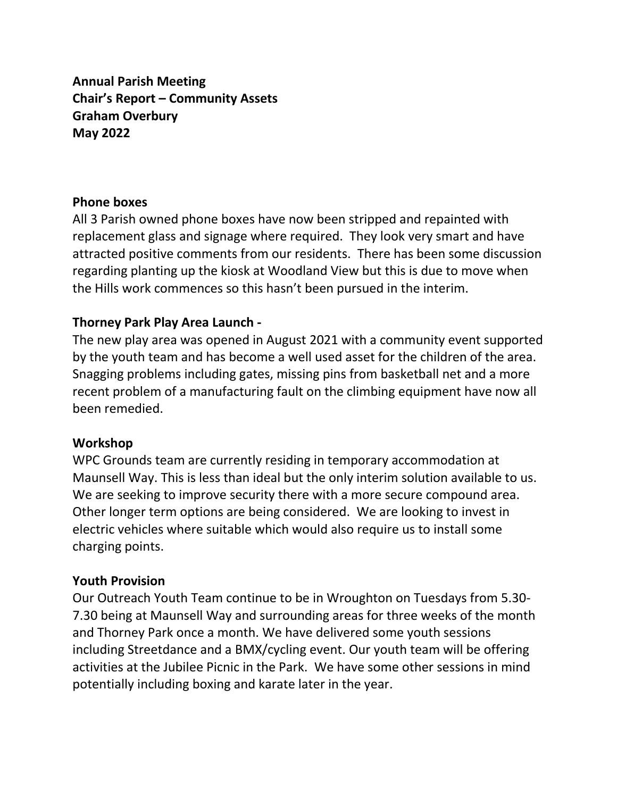**Annual Parish Meeting Chair's Report – Community Assets Graham Overbury May 2022**

#### **Phone boxes**

All 3 Parish owned phone boxes have now been stripped and repainted with replacement glass and signage where required. They look very smart and have attracted positive comments from our residents. There has been some discussion regarding planting up the kiosk at Woodland View but this is due to move when the Hills work commences so this hasn't been pursued in the interim.

#### **Thorney Park Play Area Launch -**

The new play area was opened in August 2021 with a community event supported by the youth team and has become a well used asset for the children of the area. Snagging problems including gates, missing pins from basketball net and a more recent problem of a manufacturing fault on the climbing equipment have now all been remedied.

#### **Workshop**

WPC Grounds team are currently residing in temporary accommodation at Maunsell Way. This is less than ideal but the only interim solution available to us. We are seeking to improve security there with a more secure compound area. Other longer term options are being considered. We are looking to invest in electric vehicles where suitable which would also require us to install some charging points.

#### **Youth Provision**

Our Outreach Youth Team continue to be in Wroughton on Tuesdays from 5.30- 7.30 being at Maunsell Way and surrounding areas for three weeks of the month and Thorney Park once a month. We have delivered some youth sessions including Streetdance and a BMX/cycling event. Our youth team will be offering activities at the Jubilee Picnic in the Park. We have some other sessions in mind potentially including boxing and karate later in the year.